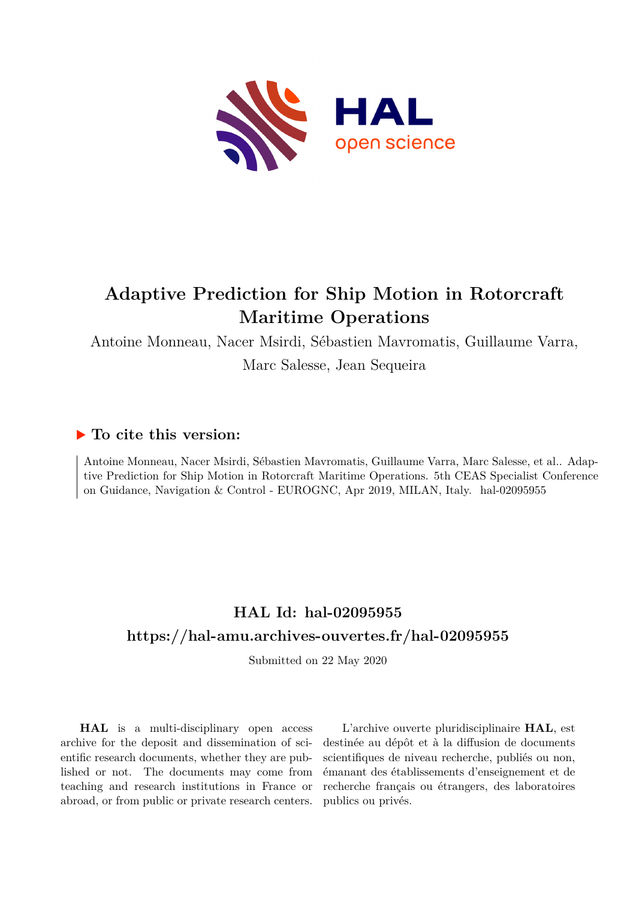

# **Adaptive Prediction for Ship Motion in Rotorcraft Maritime Operations**

Antoine Monneau, Nacer Msirdi, Sébastien Mavromatis, Guillaume Varra,

Marc Salesse, Jean Sequeira

# **To cite this version:**

Antoine Monneau, Nacer Msirdi, Sébastien Mavromatis, Guillaume Varra, Marc Salesse, et al.. Adaptive Prediction for Ship Motion in Rotorcraft Maritime Operations. 5th CEAS Specialist Conference on Guidance, Navigation & Control - EUROGNC, Apr 2019, MILAN, Italy. hal-02095955

# **HAL Id: hal-02095955 <https://hal-amu.archives-ouvertes.fr/hal-02095955>**

Submitted on 22 May 2020

**HAL** is a multi-disciplinary open access archive for the deposit and dissemination of scientific research documents, whether they are published or not. The documents may come from teaching and research institutions in France or abroad, or from public or private research centers.

L'archive ouverte pluridisciplinaire **HAL**, est destinée au dépôt et à la diffusion de documents scientifiques de niveau recherche, publiés ou non, émanant des établissements d'enseignement et de recherche français ou étrangers, des laboratoires publics ou privés.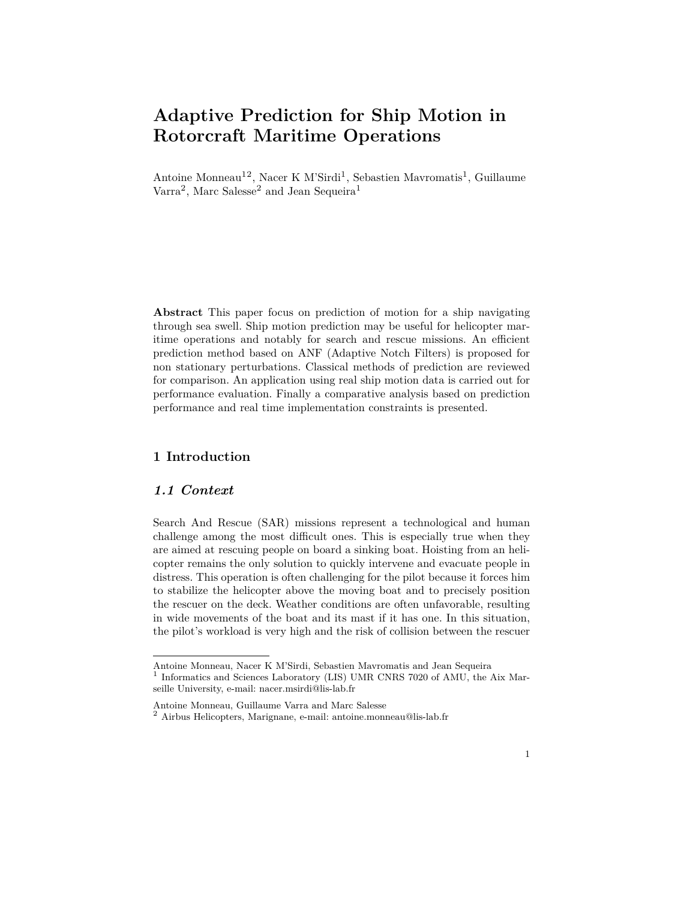# **Adaptive Prediction for Ship Motion in Rotorcraft Maritime Operations**

Antoine Monneau<sup>12</sup>, Nacer K M'Sirdi<sup>1</sup>, Sebastien Mavromatis<sup>1</sup>, Guillaume  $\text{Varra}^2$ , Marc Salesse<sup>2</sup> and Jean Sequeira<sup>1</sup>

**Abstract** This paper focus on prediction of motion for a ship navigating through sea swell. Ship motion prediction may be useful for helicopter maritime operations and notably for search and rescue missions. An efficient prediction method based on ANF (Adaptive Notch Filters) is proposed for non stationary perturbations. Classical methods of prediction are reviewed for comparison. An application using real ship motion data is carried out for performance evaluation. Finally a comparative analysis based on prediction performance and real time implementation constraints is presented.

# **1 Introduction**

## *1.1 Context*

Search And Rescue (SAR) missions represent a technological and human challenge among the most difficult ones. This is especially true when they are aimed at rescuing people on board a sinking boat. Hoisting from an helicopter remains the only solution to quickly intervene and evacuate people in distress. This operation is often challenging for the pilot because it forces him to stabilize the helicopter above the moving boat and to precisely position the rescuer on the deck. Weather conditions are often unfavorable, resulting in wide movements of the boat and its mast if it has one. In this situation, the pilot's workload is very high and the risk of collision between the rescuer

Antoine Monneau, Nacer K M'Sirdi, Sebastien Mavromatis and Jean Sequeira 1 Informatics and Sciences Laboratory (LIS) UMR CNRS 7020 of AMU, the Aix Mar-

seille University, e-mail: nacer.msirdi@lis-lab.fr

Antoine Monneau, Guillaume Varra and Marc Salesse

<sup>2</sup> Airbus Helicopters, Marignane, e-mail: antoine.monneau@lis-lab.fr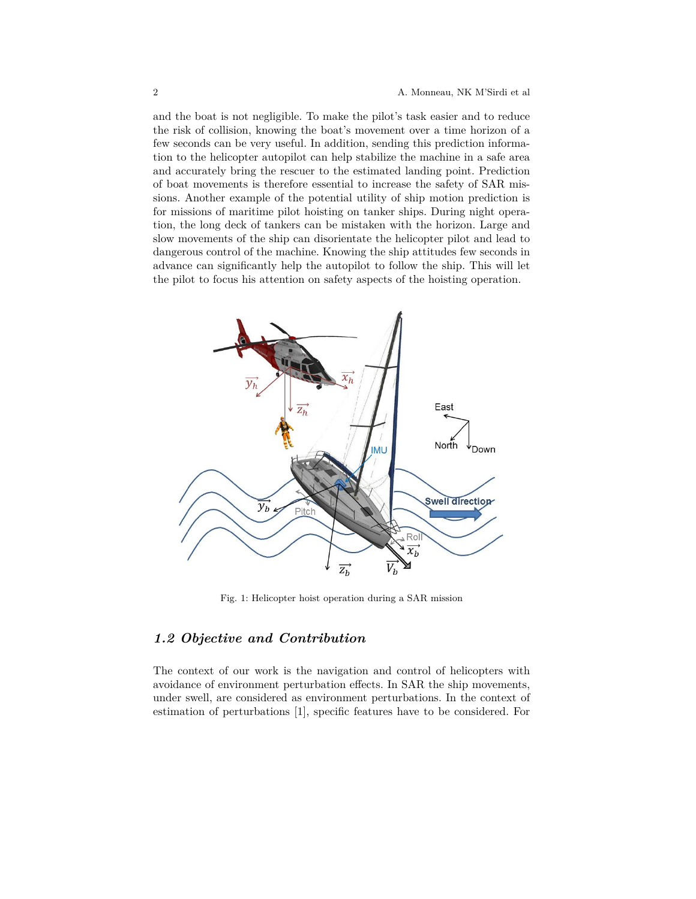and the boat is not negligible. To make the pilot's task easier and to reduce the risk of collision, knowing the boat's movement over a time horizon of a few seconds can be very useful. In addition, sending this prediction information to the helicopter autopilot can help stabilize the machine in a safe area and accurately bring the rescuer to the estimated landing point. Prediction of boat movements is therefore essential to increase the safety of SAR missions. Another example of the potential utility of ship motion prediction is for missions of maritime pilot hoisting on tanker ships. During night operation, the long deck of tankers can be mistaken with the horizon. Large and slow movements of the ship can disorientate the helicopter pilot and lead to dangerous control of the machine. Knowing the ship attitudes few seconds in advance can significantly help the autopilot to follow the ship. This will let the pilot to focus his attention on safety aspects of the hoisting operation.



Fig. 1: Helicopter hoist operation during a SAR mission

# *1.2 Objective and Contribution*

The context of our work is the navigation and control of helicopters with avoidance of environment perturbation effects. In SAR the ship movements, under swell, are considered as environment perturbations. In the context of estimation of perturbations [1], specific features have to be considered. For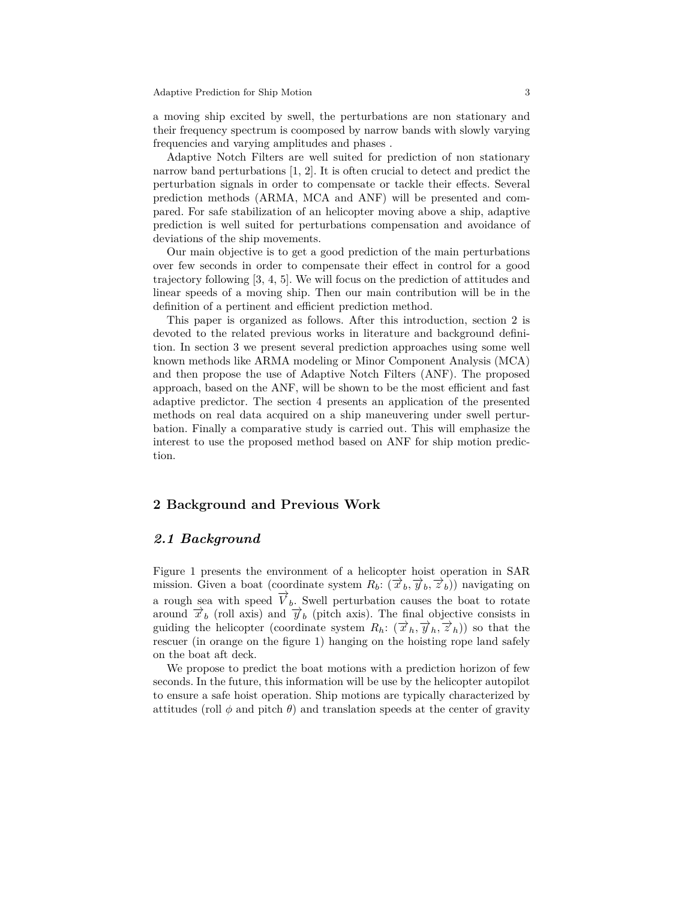a moving ship excited by swell, the perturbations are non stationary and their frequency spectrum is coomposed by narrow bands with slowly varying frequencies and varying amplitudes and phases .

Adaptive Notch Filters are well suited for prediction of non stationary narrow band perturbations [1, 2]. It is often crucial to detect and predict the perturbation signals in order to compensate or tackle their effects. Several prediction methods (ARMA, MCA and ANF) will be presented and compared. For safe stabilization of an helicopter moving above a ship, adaptive prediction is well suited for perturbations compensation and avoidance of deviations of the ship movements.

Our main objective is to get a good prediction of the main perturbations over few seconds in order to compensate their effect in control for a good trajectory following [3, 4, 5]. We will focus on the prediction of attitudes and linear speeds of a moving ship. Then our main contribution will be in the definition of a pertinent and efficient prediction method.

This paper is organized as follows. After this introduction, section 2 is devoted to the related previous works in literature and background definition. In section 3 we present several prediction approaches using some well known methods like ARMA modeling or Minor Component Analysis (MCA) and then propose the use of Adaptive Notch Filters (ANF). The proposed approach, based on the ANF, will be shown to be the most efficient and fast adaptive predictor. The section 4 presents an application of the presented methods on real data acquired on a ship maneuvering under swell perturbation. Finally a comparative study is carried out. This will emphasize the interest to use the proposed method based on ANF for ship motion prediction.

## **2 Background and Previous Work**

## *2.1 Background*

Figure 1 presents the environment of a helicopter hoist operation in SAR mission. Given a boat (coordinate system  $R_b$ :  $(\vec{x}_b, \vec{y}_b, \vec{z}_b)$ ) navigating on a rough sea with speed  $\overrightarrow{V}_b$ . Swell perturbation causes the boat to rotate around  $\vec{x}_b$  (roll axis) and  $\vec{y}_b$  (pitch axis). The final objective consists in guiding the helicopter (coordinate system  $R_h: (\vec{x}_h, \vec{y}_h, \vec{z}_h))$  so that the rescuer (in orange on the figure 1) hanging on the hoisting rope land safely on the boat aft deck.

We propose to predict the boat motions with a prediction horizon of few seconds. In the future, this information will be use by the helicopter autopilot to ensure a safe hoist operation. Ship motions are typically characterized by attitudes (roll  $\phi$  and pitch  $\theta$ ) and translation speeds at the center of gravity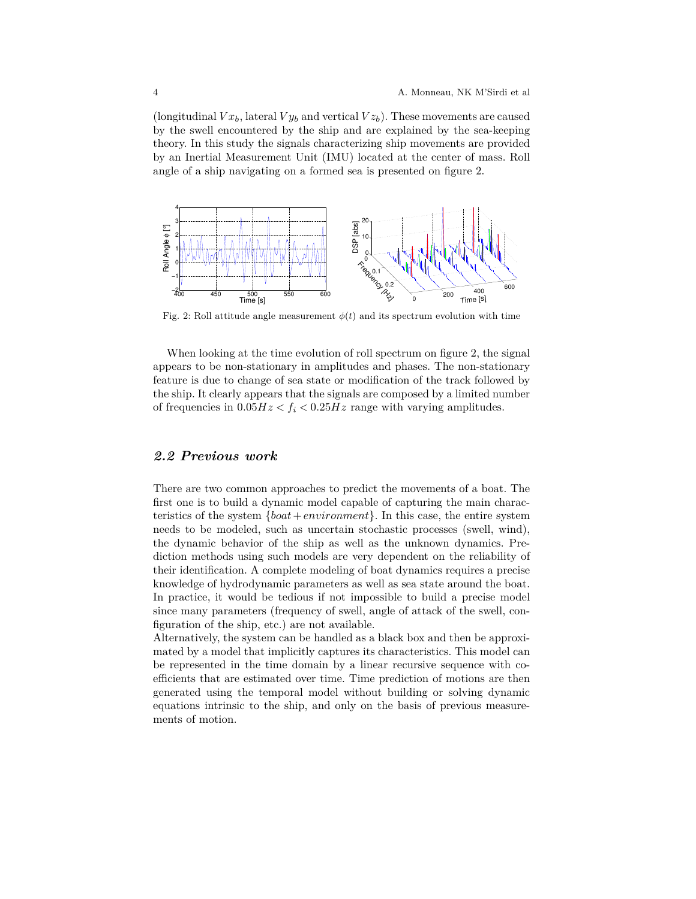(longitudinal  $V x_b$ , lateral  $V y_b$  and vertical  $V z_b$ ). These movements are caused by the swell encountered by the ship and are explained by the sea-keeping theory. In this study the signals characterizing ship movements are provided by an Inertial Measurement Unit (IMU) located at the center of mass. Roll angle of a ship navigating on a formed sea is presented on figure 2.



Fig. 2: Roll attitude angle measurement  $\phi(t)$  and its spectrum evolution with time

When looking at the time evolution of roll spectrum on figure 2, the signal appears to be non-stationary in amplitudes and phases. The non-stationary feature is due to change of sea state or modification of the track followed by the ship. It clearly appears that the signals are composed by a limited number of frequencies in  $0.05Hz < f_i < 0.25Hz$  range with varying amplitudes.

## *2.2 Previous work*

There are two common approaches to predict the movements of a boat. The first one is to build a dynamic model capable of capturing the main characteristics of the system {*boat*+*environment*}. In this case, the entire system needs to be modeled, such as uncertain stochastic processes (swell, wind), the dynamic behavior of the ship as well as the unknown dynamics. Prediction methods using such models are very dependent on the reliability of their identification. A complete modeling of boat dynamics requires a precise knowledge of hydrodynamic parameters as well as sea state around the boat. In practice, it would be tedious if not impossible to build a precise model since many parameters (frequency of swell, angle of attack of the swell, configuration of the ship, etc.) are not available.

Alternatively, the system can be handled as a black box and then be approximated by a model that implicitly captures its characteristics. This model can be represented in the time domain by a linear recursive sequence with coefficients that are estimated over time. Time prediction of motions are then generated using the temporal model without building or solving dynamic equations intrinsic to the ship, and only on the basis of previous measurements of motion.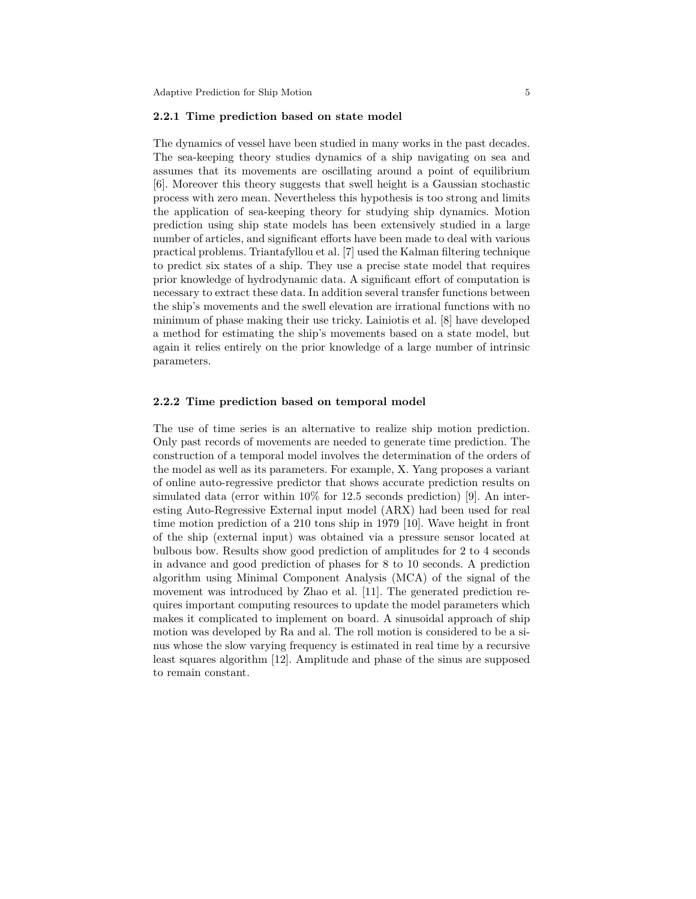Adaptive Prediction for Ship Motion 5 5 5 5 7 1 2 3 4  $\pm$  5 5 7 3 4  $\pm$  5 6 7 3 4  $\pm$  5 6 7 3 4  $\pm$  5 7 3 4  $\pm$  5 7 3 4  $\pm$  5 7 3 4  $\pm$  5 7 3 4  $\pm$  5 7  $\pm$  5 7  $\pm$  5 7  $\pm$  5 7  $\pm$  5 7  $\pm$  5 7  $\pm$  5 7  $\pm$  5 7

#### **2.2.1 Time prediction based on state model**

The dynamics of vessel have been studied in many works in the past decades. The sea-keeping theory studies dynamics of a ship navigating on sea and assumes that its movements are oscillating around a point of equilibrium [6]. Moreover this theory suggests that swell height is a Gaussian stochastic process with zero mean. Nevertheless this hypothesis is too strong and limits the application of sea-keeping theory for studying ship dynamics. Motion prediction using ship state models has been extensively studied in a large number of articles, and significant efforts have been made to deal with various practical problems. Triantafyllou et al. [7] used the Kalman filtering technique to predict six states of a ship. They use a precise state model that requires prior knowledge of hydrodynamic data. A significant effort of computation is necessary to extract these data. In addition several transfer functions between the ship's movements and the swell elevation are irrational functions with no minimum of phase making their use tricky. Lainiotis et al. [8] have developed a method for estimating the ship's movements based on a state model, but again it relies entirely on the prior knowledge of a large number of intrinsic parameters.

### **2.2.2 Time prediction based on temporal model**

The use of time series is an alternative to realize ship motion prediction. Only past records of movements are needed to generate time prediction. The construction of a temporal model involves the determination of the orders of the model as well as its parameters. For example, X. Yang proposes a variant of online auto-regressive predictor that shows accurate prediction results on simulated data (error within 10% for 12.5 seconds prediction) [9]. An interesting Auto-Regressive External input model (ARX) had been used for real time motion prediction of a 210 tons ship in 1979 [10]. Wave height in front of the ship (external input) was obtained via a pressure sensor located at bulbous bow. Results show good prediction of amplitudes for 2 to 4 seconds in advance and good prediction of phases for 8 to 10 seconds. A prediction algorithm using Minimal Component Analysis (MCA) of the signal of the movement was introduced by Zhao et al. [11]. The generated prediction requires important computing resources to update the model parameters which makes it complicated to implement on board. A sinusoidal approach of ship motion was developed by Ra and al. The roll motion is considered to be a sinus whose the slow varying frequency is estimated in real time by a recursive least squares algorithm [12]. Amplitude and phase of the sinus are supposed to remain constant.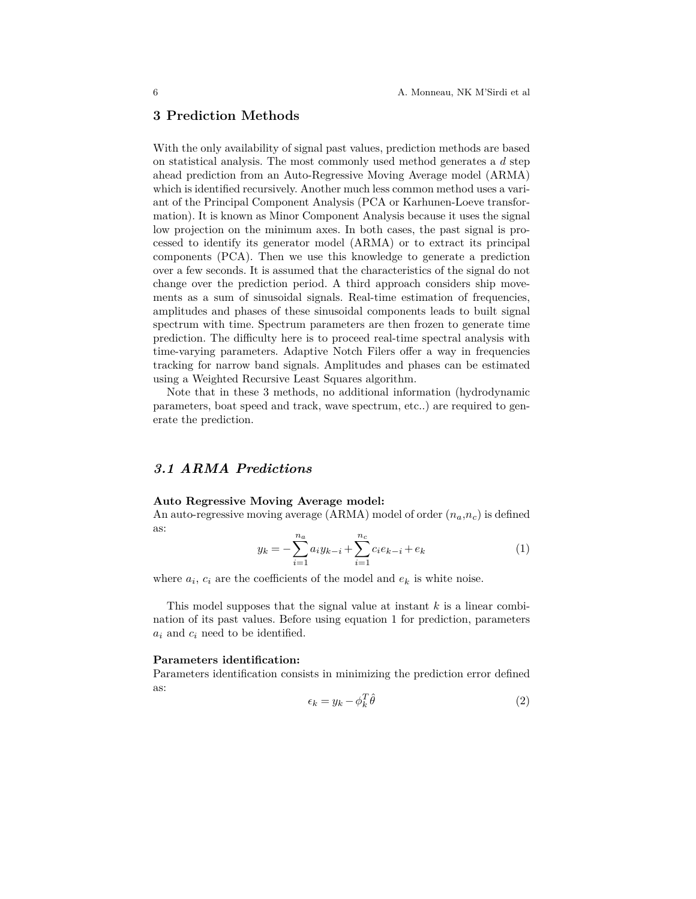## **3 Prediction Methods**

With the only availability of signal past values, prediction methods are based on statistical analysis. The most commonly used method generates a *d* step ahead prediction from an Auto-Regressive Moving Average model (ARMA) which is identified recursively. Another much less common method uses a variant of the Principal Component Analysis (PCA or Karhunen-Loeve transformation). It is known as Minor Component Analysis because it uses the signal low projection on the minimum axes. In both cases, the past signal is processed to identify its generator model (ARMA) or to extract its principal components (PCA). Then we use this knowledge to generate a prediction over a few seconds. It is assumed that the characteristics of the signal do not change over the prediction period. A third approach considers ship movements as a sum of sinusoidal signals. Real-time estimation of frequencies, amplitudes and phases of these sinusoidal components leads to built signal spectrum with time. Spectrum parameters are then frozen to generate time prediction. The difficulty here is to proceed real-time spectral analysis with time-varying parameters. Adaptive Notch Filers offer a way in frequencies tracking for narrow band signals. Amplitudes and phases can be estimated using a Weighted Recursive Least Squares algorithm.

Note that in these 3 methods, no additional information (hydrodynamic parameters, boat speed and track, wave spectrum, etc..) are required to generate the prediction.

# *3.1 ARMA Predictions*

#### **Auto Regressive Moving Average model:**

An auto-regressive moving average (ARMA) model of order (*na*,*nc*) is defined as:

$$
y_k = -\sum_{i=1}^{n_a} a_i y_{k-i} + \sum_{i=1}^{n_c} c_i e_{k-i} + e_k
$$
 (1)

where  $a_i$ ,  $c_i$  are the coefficients of the model and  $e_k$  is white noise.

This model supposes that the signal value at instant *k* is a linear combination of its past values. Before using equation 1 for prediction, parameters *a<sup>i</sup>* and *c<sup>i</sup>* need to be identified.

### **Parameters identification:**

Parameters identification consists in minimizing the prediction error defined as:  $\overline{r}$ 

$$
\epsilon_k = y_k - \phi_k^T \hat{\theta} \tag{2}
$$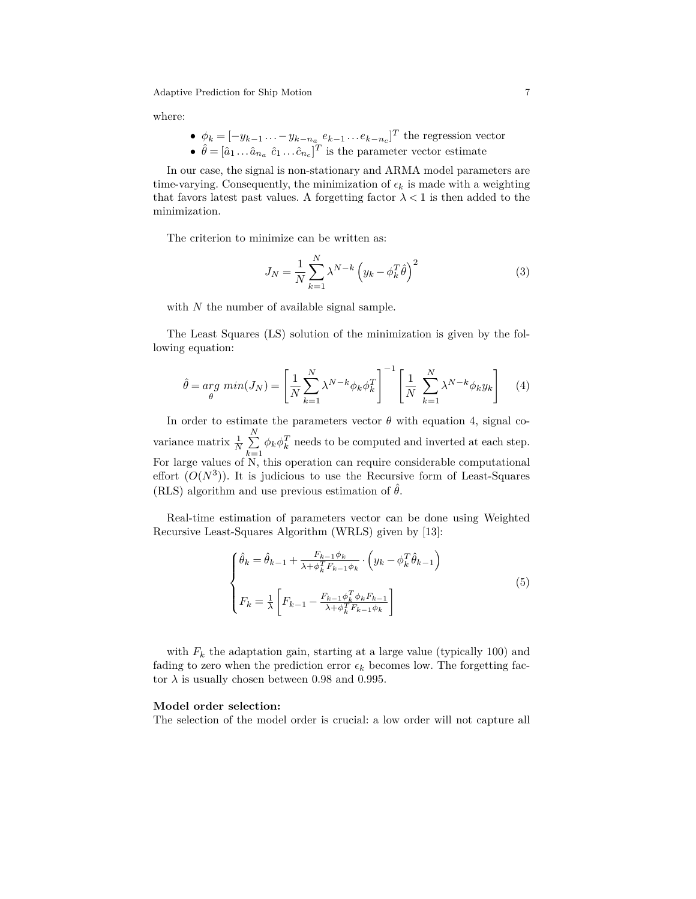where:

\n- \n
$$
\phi_k = [-y_{k-1} \dots - y_{k-n_a} \, e_{k-1} \dots e_{k-n_c}]^T
$$
\n the regression vector\n
\n- \n $\hat{\theta} = [\hat{a}_1 \dots \hat{a}_{n_a} \, \hat{c}_1 \dots \hat{c}_{n_c}]^T$ \n is the parameter vector estimate\n
\n

In our case, the signal is non-stationary and ARMA model parameters are time-varying. Consequently, the minimization of  $\epsilon_k$  is made with a weighting that favors latest past values. A forgetting factor  $\lambda < 1$  is then added to the minimization.

The criterion to minimize can be written as:

$$
J_N = \frac{1}{N} \sum_{k=1}^{N} \lambda^{N-k} \left( y_k - \phi_k^T \hat{\theta} \right)^2 \tag{3}
$$

with *N* the number of available signal sample.

The Least Squares (LS) solution of the minimization is given by the following equation:

$$
\hat{\theta} = \underset{\theta}{\arg\ min} (J_N) = \left[ \frac{1}{N} \sum_{k=1}^{N} \lambda^{N-k} \phi_k \phi_k^T \right]^{-1} \left[ \frac{1}{N} \sum_{k=1}^{N} \lambda^{N-k} \phi_k y_k \right] \tag{4}
$$

In order to estimate the parameters vector  $\theta$  with equation 4, signal covariance matrix  $\frac{1}{N} \sum_{i=1}^{N}$  $\sum_{k=1} \phi_k \phi_k^T$  needs to be computed and inverted at each step. For large values of N, this operation can require considerable computational effort  $(O(N^3))$ . It is judicious to use the Recursive form of Least-Squares (RLS) algorithm and use previous estimation of  $\hat{\theta}$ .

Real-time estimation of parameters vector can be done using Weighted Recursive Least-Squares Algorithm (WRLS) given by [13]:

$$
\begin{cases}\n\hat{\theta}_k = \hat{\theta}_{k-1} + \frac{F_{k-1}\phi_k}{\lambda + \phi_k^T F_{k-1}\phi_k} \cdot \left(y_k - \phi_k^T \hat{\theta}_{k-1}\right) \\
F_k = \frac{1}{\lambda} \left[ F_{k-1} - \frac{F_{k-1}\phi_k^T \phi_k F_{k-1}}{\lambda + \phi_k^T F_{k-1}\phi_k} \right]\n\end{cases} \tag{5}
$$

with  $F_k$  the adaptation gain, starting at a large value (typically 100) and fading to zero when the prediction error  $\epsilon_k$  becomes low. The forgetting factor  $\lambda$  is usually chosen between 0.98 and 0.995.

#### **Model order selection:**

The selection of the model order is crucial: a low order will not capture all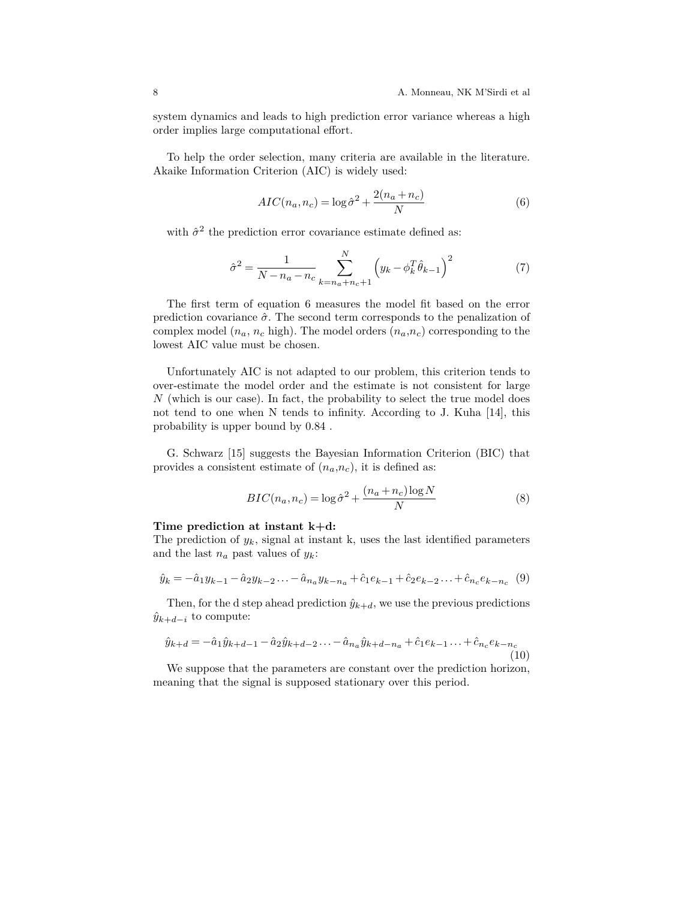system dynamics and leads to high prediction error variance whereas a high order implies large computational effort.

To help the order selection, many criteria are available in the literature. Akaike Information Criterion (AIC) is widely used:

$$
AIC(n_a, n_c) = \log \hat{\sigma}^2 + \frac{2(n_a + n_c)}{N}
$$
 (6)

with  $\hat{\sigma}^2$  the prediction error covariance estimate defined as:

$$
\hat{\sigma}^2 = \frac{1}{N - n_a - n_c} \sum_{k=n_a+n_c+1}^{N} \left( y_k - \phi_k^T \hat{\theta}_{k-1} \right)^2 \tag{7}
$$

The first term of equation 6 measures the model fit based on the error prediction covariance  $\hat{\sigma}$ . The second term corresponds to the penalization of complex model  $(n_a, n_c \text{ high})$ . The model orders  $(n_a, n_c)$  corresponding to the lowest AIC value must be chosen.

Unfortunately AIC is not adapted to our problem, this criterion tends to over-estimate the model order and the estimate is not consistent for large *N* (which is our case). In fact, the probability to select the true model does not tend to one when N tends to infinity. According to J. Kuha [14], this probability is upper bound by 0.84 .

G. Schwarz [15] suggests the Bayesian Information Criterion (BIC) that provides a consistent estimate of  $(n_a, n_c)$ , it is defined as:

$$
BIC(n_a, n_c) = \log \hat{\sigma}^2 + \frac{(n_a + n_c)\log N}{N}
$$
 (8)

### **Time prediction at instant k+d:**

The prediction of  $y_k$ , signal at instant k, uses the last identified parameters and the last  $n_a$  past values of  $y_k$ :

$$
\hat{y}_k = -\hat{a}_1 y_{k-1} - \hat{a}_2 y_{k-2} \dots - \hat{a}_{n_a} y_{k-n_a} + \hat{c}_1 e_{k-1} + \hat{c}_2 e_{k-2} \dots + \hat{c}_{n_c} e_{k-n_c} \tag{9}
$$

Then, for the d step ahead prediction  $\hat{y}_{k+d}$ , we use the previous predictions  $\hat{y}_{k+d-i}$  to compute:

$$
\hat{y}_{k+d} = -\hat{a}_1 \hat{y}_{k+d-1} - \hat{a}_2 \hat{y}_{k+d-2} \dots - \hat{a}_{n_a} \hat{y}_{k+d-n_a} + \hat{c}_1 e_{k-1} \dots + \hat{c}_{n_c} e_{k-n_c}
$$
\n(10)

We suppose that the parameters are constant over the prediction horizon, meaning that the signal is supposed stationary over this period.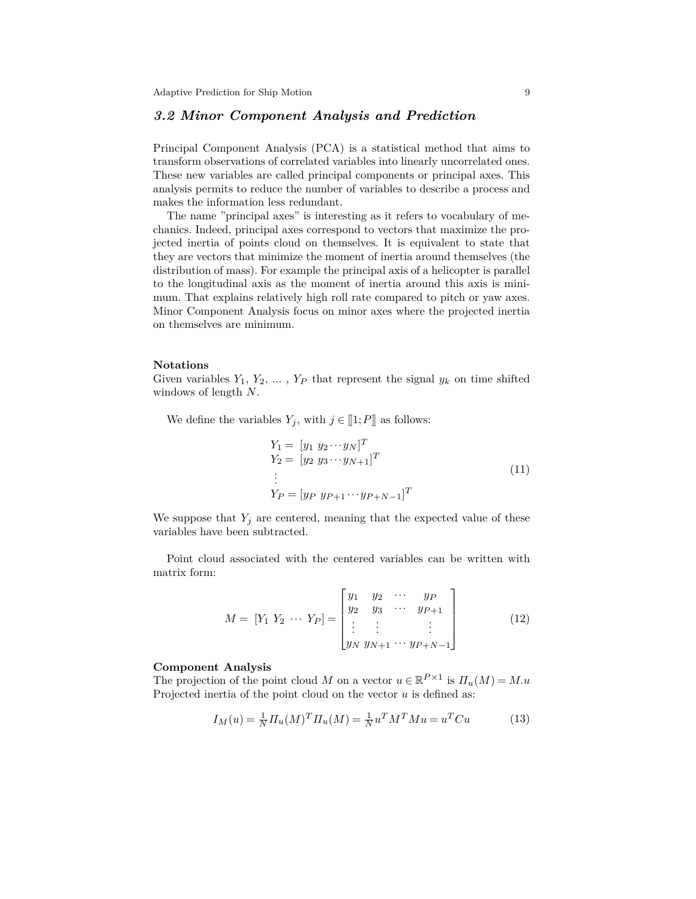## *3.2 Minor Component Analysis and Prediction*

Principal Component Analysis (PCA) is a statistical method that aims to transform observations of correlated variables into linearly uncorrelated ones. These new variables are called principal components or principal axes. This analysis permits to reduce the number of variables to describe a process and makes the information less redundant.

The name "principal axes" is interesting as it refers to vocabulary of mechanics. Indeed, principal axes correspond to vectors that maximize the projected inertia of points cloud on themselves. It is equivalent to state that they are vectors that minimize the moment of inertia around themselves (the distribution of mass). For example the principal axis of a helicopter is parallel to the longitudinal axis as the moment of inertia around this axis is minimum. That explains relatively high roll rate compared to pitch or yaw axes. Minor Component Analysis focus on minor axes where the projected inertia on themselves are minimum.

#### **Notations**

Given variables  $Y_1, Y_2, \ldots, Y_P$  that represent the signal  $y_k$  on time shifted windows of length *N*.

We define the variables  $Y_j$ , with  $j \in [1; P]$  as follows:

$$
Y_1 = [y_1 \ y_2 \cdots y_N]^T
$$
  
\n
$$
Y_2 = [y_2 \ y_3 \cdots y_{N+1}]^T
$$
  
\n
$$
\vdots
$$
  
\n
$$
Y_P = [y_P \ y_{P+1} \cdots y_{P+N-1}]^T
$$
\n(11)

We suppose that  $Y_j$  are centered, meaning that the expected value of these variables have been subtracted.

Point cloud associated with the centered variables can be written with matrix form:

$$
M = [Y_1 \ Y_2 \ \cdots \ Y_P] = \begin{bmatrix} y_1 & y_2 & \cdots & y_P \\ y_2 & y_3 & \cdots & y_{P+1} \\ \vdots & \vdots & & \vdots \\ y_N \ y_{N+1} & \cdots & y_{P+N-1} \end{bmatrix}
$$
 (12)

## **Component Analysis**

The projection of the point cloud *M* on a vector  $u \in \mathbb{R}^{P \times 1}$  is  $\Pi_u(M) = M.u$ Projected inertia of the point cloud on the vector *u* is defined as:

$$
I_M(u) = \frac{1}{N} \prod_u (M)^T \prod_u (M) = \frac{1}{N} u^T M^T M u = u^T C u \tag{13}
$$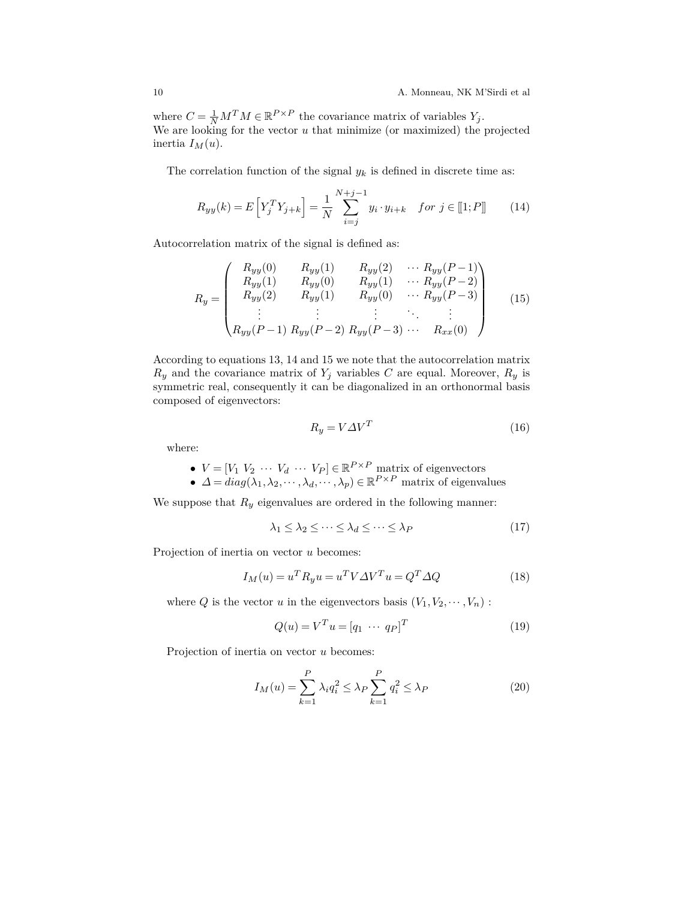where  $C = \frac{1}{N} M^T M \in \mathbb{R}^{P \times P}$  the covariance matrix of variables  $Y_j$ . We are looking for the vector *u* that minimize (or maximized) the projected inertia  $I_M(u)$ .

The correlation function of the signal  $y_k$  is defined in discrete time as:

$$
R_{yy}(k) = E\left[Y_j^T Y_{j+k}\right] = \frac{1}{N} \sum_{i=j}^{N+j-1} y_i \cdot y_{i+k} \quad \text{for } j \in [\![1;P]\!] \tag{14}
$$

Autocorrelation matrix of the signal is defined as:

$$
R_{y} = \begin{pmatrix} R_{yy}(0) & R_{yy}(1) & R_{yy}(2) & \cdots R_{yy}(P-1) \\ R_{yy}(1) & R_{yy}(0) & R_{yy}(1) & \cdots R_{yy}(P-2) \\ R_{yy}(2) & R_{yy}(1) & R_{yy}(0) & \cdots R_{yy}(P-3) \\ \vdots & \vdots & \vdots & \ddots & \vdots \\ R_{yy}(P-1) & R_{yy}(P-2) & R_{yy}(P-3) & \cdots & R_{xx}(0) \end{pmatrix}
$$
(15)

According to equations 13, 14 and 15 we note that the autocorrelation matrix  $R_y$  and the covariance matrix of  $Y_j$  variables  $C$  are equal. Moreover,  $R_y$  is symmetric real, consequently it can be diagonalized in an orthonormal basis composed of eigenvectors:

$$
R_y = V \Delta V^T \tag{16}
$$

where:

• 
$$
V = [V_1 \ V_2 \ \cdots \ V_d \ \cdots \ V_P] \in \mathbb{R}^{P \times P}
$$
 matrix of eigenvectors

 $\blacklozenge$  *∆* =  $diag(\lambda_1, \lambda_2, \cdots, \lambda_d, \cdots, \lambda_p) \in \mathbb{R}^{P \times P}$  matrix of eigenvalues

We suppose that  $R_y$  eigenvalues are ordered in the following manner:

$$
\lambda_1 \le \lambda_2 \le \dots \le \lambda_d \le \dots \le \lambda_P \tag{17}
$$

Projection of inertia on vector *u* becomes:

$$
I_M(u) = u^T R_y u = u^T V \Delta V^T u = Q^T \Delta Q \qquad (18)
$$

where *Q* is the vector *u* in the eigenvectors basis  $(V_1, V_2, \dots, V_n)$ :

$$
Q(u) = V^T u = [q_1 \cdots q_P]^T
$$
\n(19)

Projection of inertia on vector *u* becomes:

$$
I_M(u) = \sum_{k=1}^P \lambda_i q_i^2 \le \lambda_P \sum_{k=1}^P q_i^2 \le \lambda_P
$$
\n(20)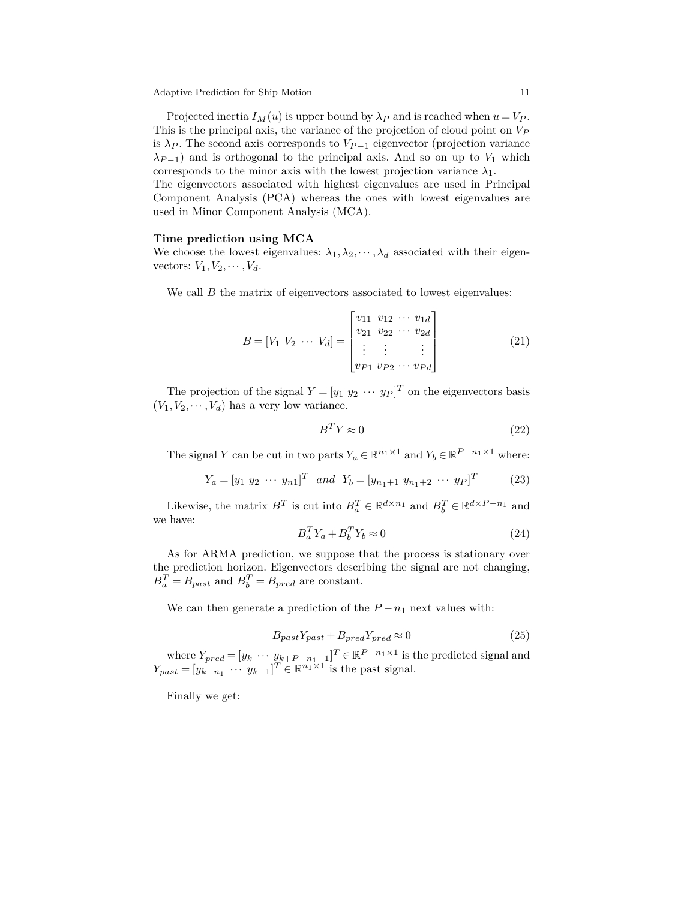Projected inertia  $I_M(u)$  is upper bound by  $\lambda_P$  and is reached when  $u = V_P$ . This is the principal axis, the variance of the projection of cloud point on *V<sup>P</sup>* is  $\lambda_P$ . The second axis corresponds to  $V_{P-1}$  eigenvector (projection variance  $\lambda_{P-1}$ ) and is orthogonal to the principal axis. And so on up to *V*<sub>1</sub> which corresponds to the minor axis with the lowest projection variance  $\lambda_1$ .

The eigenvectors associated with highest eigenvalues are used in Principal Component Analysis (PCA) whereas the ones with lowest eigenvalues are used in Minor Component Analysis (MCA).

#### **Time prediction using MCA**

We choose the lowest eigenvalues:  $\lambda_1, \lambda_2, \dots, \lambda_d$  associated with their eigenvectors:  $V_1, V_2, \cdots, V_d$ .

We call  $B$  the matrix of eigenvectors associated to lowest eigenvalues:

$$
B = [V_1 \ V_2 \ \cdots \ V_d] = \begin{bmatrix} v_{11} & v_{12} & \cdots & v_{1d} \\ v_{21} & v_{22} & \cdots & v_{2d} \\ \vdots & \vdots & & \vdots \\ v_{P1} & v_{P2} & \cdots & v_{Pd} \end{bmatrix}
$$
 (21)

The projection of the signal  $Y = [y_1 \ y_2 \ \cdots \ y_P]^T$  on the eigenvectors basis  $(V_1, V_2, \dots, V_d)$  has a very low variance.

$$
B^T Y \approx 0 \tag{22}
$$

The signal *Y* can be cut in two parts  $Y_a \in \mathbb{R}^{n_1 \times 1}$  and  $Y_b \in \mathbb{R}^{P-n_1 \times 1}$  where:

$$
Y_a = [y_1 \ y_2 \ \cdots \ y_{n1}]^T \ \ and \ \ Y_b = [y_{n_1+1} \ y_{n_1+2} \ \cdots \ y_P]^T \tag{23}
$$

Likewise, the matrix  $B^T$  is cut into  $B_a^T \in \mathbb{R}^{d \times n_1}$  and  $B_b^T \in \mathbb{R}^{d \times P - n_1}$  and we have:

$$
B_a^T Y_a + B_b^T Y_b \approx 0 \tag{24}
$$

As for ARMA prediction, we suppose that the process is stationary over the prediction horizon. Eigenvectors describing the signal are not changing,  $B_a^T = B_{past}$  and  $B_b^T = B_{pred}$  are constant.

We can then generate a prediction of the  $P - n_1$  next values with:

$$
B_{past}Y_{past} + B_{pred}Y_{pred} \approx 0\tag{25}
$$

where  $Y_{pred} = [y_k \cdots y_{k+P-n_1-1}]^T \in \mathbb{R}^{P-n_1 \times 1}$  is the predicted signal and  $Y_{past} = [y_{k-n_1} \cdots y_{k-1}]^T \in \mathbb{R}^{n_1 \times 1}$  is the past signal.

Finally we get: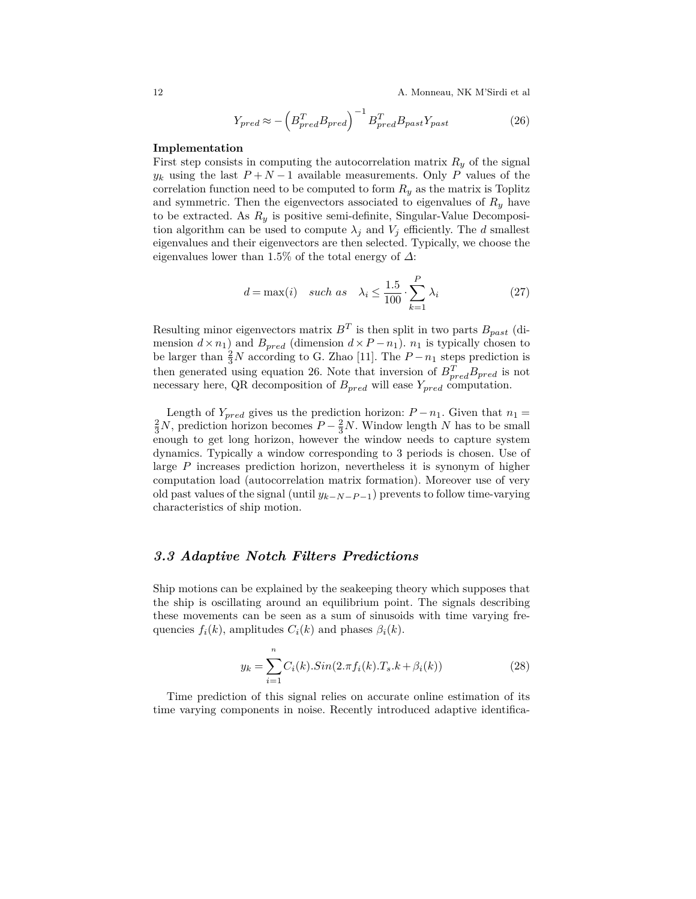12 A. Monneau, NK M'Sirdi et al

$$
Y_{pred} \approx -\left(B_{pred}^T B_{pred}\right)^{-1} B_{pred}^T B_{past} Y_{past} \tag{26}
$$

## **Implementation**

First step consists in computing the autocorrelation matrix  $R_y$  of the signal *y*<sub>*k*</sub> using the last  $P + N - 1$  available measurements. Only *P* values of the correlation function need to be computed to form  $R_y$  as the matrix is Toplitz and symmetric. Then the eigenvectors associated to eigenvalues of  $R_y$  have to be extracted. As *R<sup>y</sup>* is positive semi-definite, Singular-Value Decomposition algorithm can be used to compute  $\lambda_j$  and  $V_j$  efficiently. The *d* smallest eigenvalues and their eigenvectors are then selected. Typically, we choose the eigenvalues lower than 1*.*5% of the total energy of *∆*:

$$
d = \max(i) \quad such \; as \quad \lambda_i \le \frac{1.5}{100} \cdot \sum_{k=1}^{P} \lambda_i \tag{27}
$$

Resulting minor eigenvectors matrix  $B<sup>T</sup>$  is then split in two parts  $B_{past}$  (dimension  $d \times n_1$ ) and  $B_{pred}$  (dimension  $d \times P - n_1$ ).  $n_1$  is typically chosen to be larger than  $\frac{2}{3}N$  according to G. Zhao [11]. The  $P - n_1$  steps prediction is then generated using equation 26. Note that inversion of  $B_{pred}^T B_{pred}$  is not necessary here, QR decomposition of *Bpred* will ease *Ypred* computation.

Length of  $Y_{pred}$  gives us the prediction horizon:  $P - n_1$ . Given that  $n_1 = \frac{2}{3}N$ , prediction horizon becomes  $P - \frac{2}{3}N$ . Window length *N* has to be small enough to get long horizon, however the window needs to capture system dynamics. Typically a window corresponding to 3 periods is chosen. Use of large *P* increases prediction horizon, nevertheless it is synonym of higher computation load (autocorrelation matrix formation). Moreover use of very old past values of the signal (until *yk*−*N*−*<sup>P</sup>* <sup>−</sup>1) prevents to follow time-varying characteristics of ship motion.

## *3.3 Adaptive Notch Filters Predictions*

Ship motions can be explained by the seakeeping theory which supposes that the ship is oscillating around an equilibrium point. The signals describing these movements can be seen as a sum of sinusoids with time varying frequencies  $f_i(k)$ , amplitudes  $C_i(k)$  and phases  $\beta_i(k)$ .

$$
y_k = \sum_{i=1}^{n} C_i(k).Sin(2.\pi f_i(k).T_s.k + \beta_i(k))
$$
\n(28)

Time prediction of this signal relies on accurate online estimation of its time varying components in noise. Recently introduced adaptive identifica-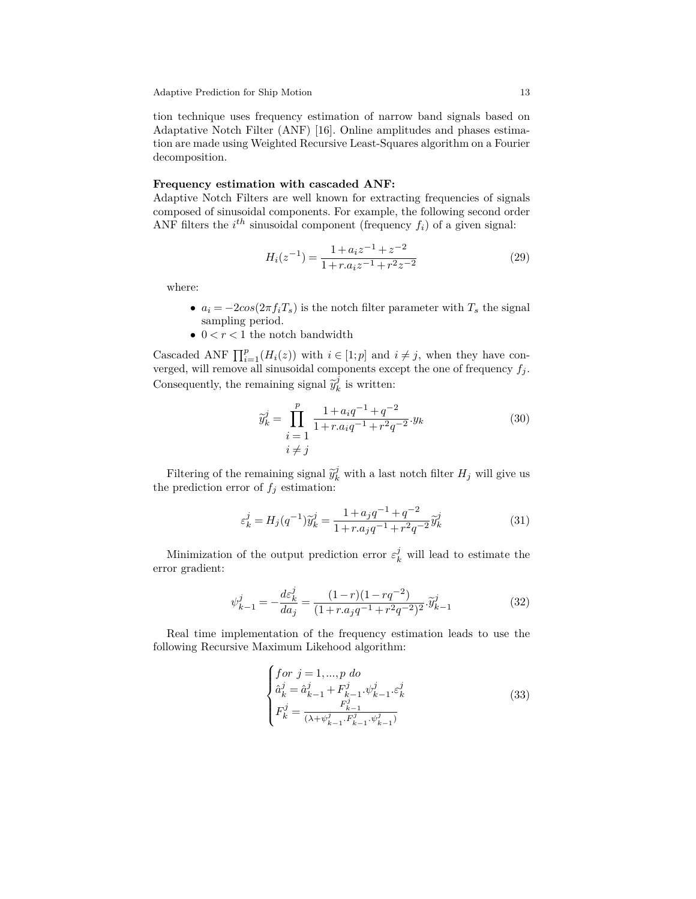tion technique uses frequency estimation of narrow band signals based on Adaptative Notch Filter (ANF) [16]. Online amplitudes and phases estimation are made using Weighted Recursive Least-Squares algorithm on a Fourier decomposition.

#### **Frequency estimation with cascaded ANF:**

Adaptive Notch Filters are well known for extracting frequencies of signals composed of sinusoidal components. For example, the following second order ANF filters the  $i^{th}$  sinusoidal component (frequency  $f_i$ ) of a given signal:

$$
H_i(z^{-1}) = \frac{1 + a_i z^{-1} + z^{-2}}{1 + r a_i z^{-1} + r^2 z^{-2}}
$$
\n(29)

where:

- $a_i = -2\cos(2\pi f_i T_s)$  is the notch filter parameter with  $T_s$  the signal sampling period.
- $0 < r < 1$  the notch bandwidth

Cascaded ANF  $\prod_{i=1}^{p} (H_i(z))$  with  $i \in [1;p]$  and  $i \neq j$ , when they have converged, will remove all sinusoidal components except the one of frequency  $f_j$ . Consequently, the remaining signal  $\widetilde{y}_k^j$  $\frac{\partial}{\partial k}$  is written:

$$
\widetilde{y}_k^j = \prod_{\substack{i=1 \ i \neq j}}^p \frac{1 + a_i q^{-1} + q^{-2}}{1 + r a_i q^{-1} + r^2 q^{-2}} y_k
$$
\n
$$
(30)
$$
\n
$$
i \neq j
$$

Filtering of the remaining signal  $\tilde{y}_k^j$  with a last notch filter  $H_j$  will give us the prediction error of  $f_j$  estimation:

$$
\varepsilon_k^j = H_j(q^{-1})\widetilde{y}_k^j = \frac{1 + a_j q^{-1} + q^{-2}}{1 + r a_j q^{-1} + r^2 q^{-2}} \widetilde{y}_k^j
$$
\n(31)

Minimization of the output prediction error  $\varepsilon_k^j$  will lead to estimate the error gradient:

$$
\psi_{k-1}^j = -\frac{d\varepsilon_k^j}{da_j} = \frac{(1-r)(1-rq^{-2})}{(1+r.a_jq^{-1}+r^2q^{-2})^2} \cdot \widetilde{y}_{k-1}^j
$$
\n(32)

Real time implementation of the frequency estimation leads to use the following Recursive Maximum Likehood algorithm:

$$
\begin{cases}\nfor \ j = 1, ..., p \ do \\
\hat{a}_k^j = \hat{a}_{k-1}^j + F_{k-1}^j \cdot \psi_{k-1}^j \cdot \varepsilon_k^j \\
F_k^j = \frac{F_{k-1}^j}{(\lambda + \psi_{k-1}^j \cdot F_{k-1}^j \cdot \psi_{k-1}^j)}\n\end{cases} \tag{33}
$$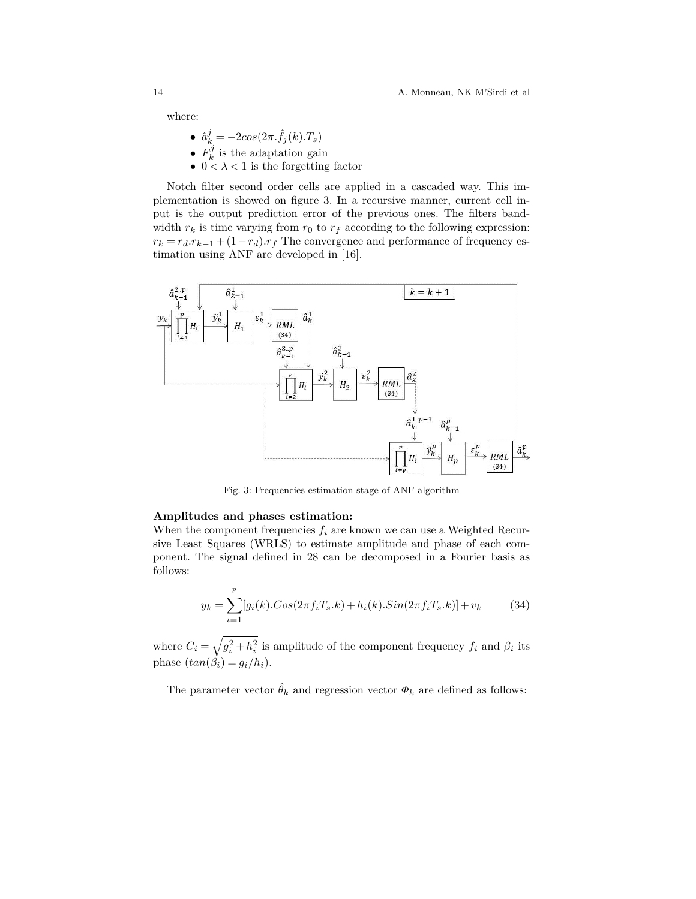where:

- $\hat{a}_k^j = -2cos(2\pi \cdot \hat{f}_j(k) \cdot T_s)$
- $\bullet$   $F_k^j$  $k \nvert k$  is the adaptation gain
- $0 < \lambda < 1$  is the forgetting factor

Notch filter second order cells are applied in a cascaded way. This implementation is showed on figure 3. In a recursive manner, current cell input is the output prediction error of the previous ones. The filters bandwidth  $r_k$  is time varying from  $r_0$  to  $r_f$  according to the following expression:  $r_k = r_d \cdot r_{k-1} + (1 - r_d) \cdot r_f$  The convergence and performance of frequency estimation using ANF are developed in [16].



Fig. 3: Frequencies estimation stage of ANF algorithm

#### **Amplitudes and phases estimation:**

When the component frequencies  $f_i$  are known we can use a Weighted Recursive Least Squares (WRLS) to estimate amplitude and phase of each component. The signal defined in 28 can be decomposed in a Fourier basis as follows:

$$
y_k = \sum_{i=1}^p [g_i(k) \cdot \cos(2\pi f_i T_s \cdot k) + h_i(k) \cdot \sin(2\pi f_i T_s \cdot k)] + v_k \tag{34}
$$

where  $C_i = \sqrt{g_i^2 + h_i^2}$  is amplitude of the component frequency  $f_i$  and  $\beta_i$  its phase  $(tan(\beta_i) = g_i/h_i)$ .

The parameter vector  $\hat{\theta}_k$  and regression vector  $\Phi_k$  are defined as follows: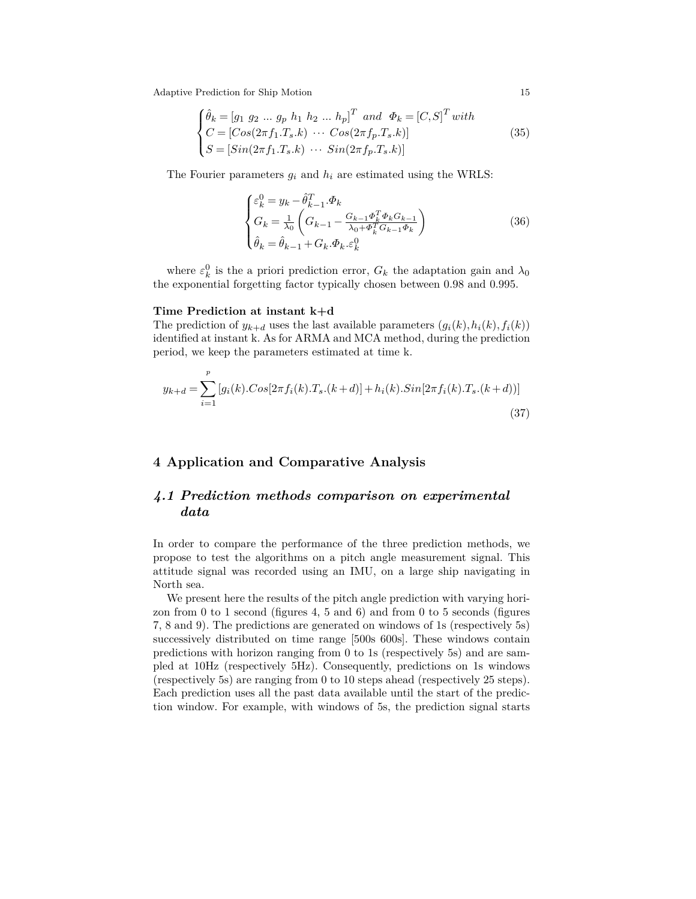$$
\begin{cases}\n\hat{\theta}_k = [g_1 \ g_2 \ \dots \ g_p \ h_1 \ h_2 \ \dots \ h_p]^T \ and \ \Phi_k = [C, S]^T \ with \\
C = [Cos(2\pi f_1 \cdot T_s \cdot k) \ \cdots \ Cos(2\pi f_p \cdot T_s \cdot k)] \\
S = [Sin(2\pi f_1 \cdot T_s \cdot k) \ \cdots \ Sin(2\pi f_p \cdot T_s \cdot k)]\n\end{cases} \tag{35}
$$

The Fourier parameters  $g_i$  and  $h_i$  are estimated using the WRLS:

$$
\begin{cases} \varepsilon_k^0 = y_k - \hat{\theta}_{k-1}^T . \Phi_k \\ G_k = \frac{1}{\lambda_0} \left( G_{k-1} - \frac{G_{k-1} \Phi_k^T \Phi_k G_{k-1}}{\lambda_0 + \Phi_k^T G_{k-1} \Phi_k} \right) \\ \hat{\theta}_k = \hat{\theta}_{k-1} + G_k . \Phi_k . \varepsilon_k^0 \end{cases} \tag{36}
$$

where  $\varepsilon_k^0$  is the a priori prediction error,  $G_k$  the adaptation gain and  $\lambda_0$ the exponential forgetting factor typically chosen between 0.98 and 0.995.

#### **Time Prediction at instant k+d**

The prediction of  $y_{k+d}$  uses the last available parameters  $(g_i(k), h_i(k), f_i(k))$ identified at instant k. As for ARMA and MCA method, during the prediction period, we keep the parameters estimated at time k.

$$
y_{k+d} = \sum_{i=1}^{p} [g_i(k) \cdot \cos[2\pi f_i(k) \cdot T_s \cdot (k+d)] + h_i(k) \cdot \sin[2\pi f_i(k) \cdot T_s \cdot (k+d))]
$$
\n(37)

## **4 Application and Comparative Analysis**

# *4.1 Prediction methods comparison on experimental data*

In order to compare the performance of the three prediction methods, we propose to test the algorithms on a pitch angle measurement signal. This attitude signal was recorded using an IMU, on a large ship navigating in North sea.

We present here the results of the pitch angle prediction with varying horizon from 0 to 1 second (figures 4, 5 and 6) and from 0 to 5 seconds (figures 7, 8 and 9). The predictions are generated on windows of 1s (respectively 5s) successively distributed on time range [500s 600s]. These windows contain predictions with horizon ranging from 0 to 1s (respectively 5s) and are sampled at 10Hz (respectively 5Hz). Consequently, predictions on 1s windows (respectively 5s) are ranging from 0 to 10 steps ahead (respectively 25 steps). Each prediction uses all the past data available until the start of the prediction window. For example, with windows of 5s, the prediction signal starts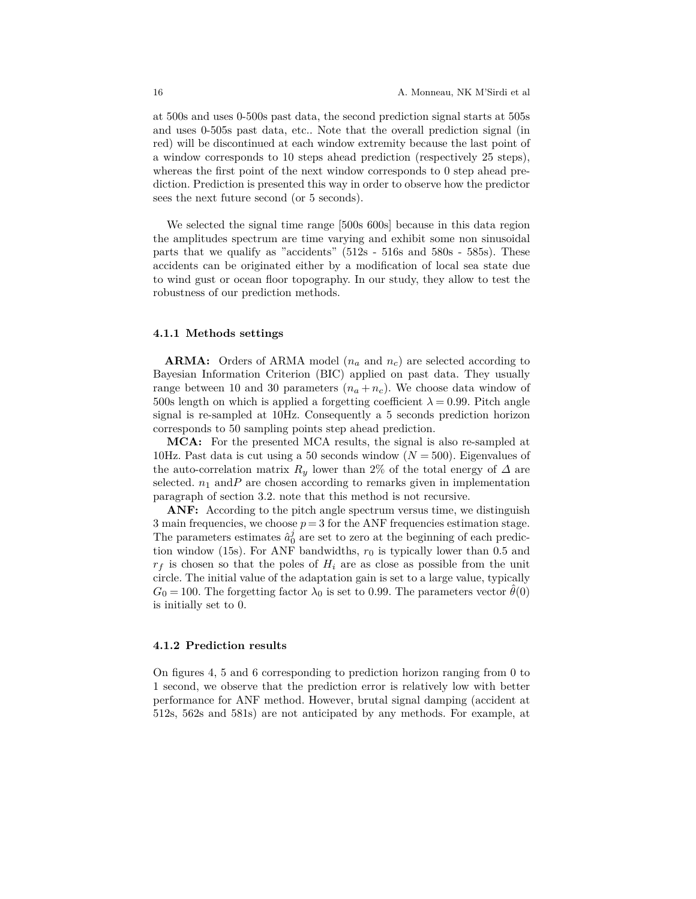at 500s and uses 0-500s past data, the second prediction signal starts at 505s and uses 0-505s past data, etc.. Note that the overall prediction signal (in red) will be discontinued at each window extremity because the last point of a window corresponds to 10 steps ahead prediction (respectively 25 steps), whereas the first point of the next window corresponds to 0 step ahead prediction. Prediction is presented this way in order to observe how the predictor sees the next future second (or 5 seconds).

We selected the signal time range [500s 600s] because in this data region the amplitudes spectrum are time varying and exhibit some non sinusoidal parts that we qualify as "accidents" (512s - 516s and 580s - 585s). These accidents can be originated either by a modification of local sea state due to wind gust or ocean floor topography. In our study, they allow to test the robustness of our prediction methods.

#### **4.1.1 Methods settings**

**ARMA:** Orders of ARMA model (*n<sup>a</sup>* and *nc*) are selected according to Bayesian Information Criterion (BIC) applied on past data. They usually range between 10 and 30 parameters  $(n_a + n_c)$ . We choose data window of 500s length on which is applied a forgetting coefficient  $\lambda = 0.99$ . Pitch angle signal is re-sampled at 10Hz. Consequently a 5 seconds prediction horizon corresponds to 50 sampling points step ahead prediction.

**MCA:** For the presented MCA results, the signal is also re-sampled at 10Hz. Past data is cut using a 50 seconds window (*N* = 500). Eigenvalues of the auto-correlation matrix  $R_y$  lower than 2% of the total energy of  $\Delta$  are selected.  $n_1$  and *P* are chosen according to remarks given in implementation paragraph of section 3.2. note that this method is not recursive.

ANF: According to the pitch angle spectrum versus time, we distinguish 3 main frequencies, we choose  $p = 3$  for the ANF frequencies estimation stage. The parameters estimates  $\hat{a}_0^j$  are set to zero at the beginning of each prediction window (15s). For ANF bandwidths,  $r_0$  is typically lower than 0.5 and  $r_f$  is chosen so that the poles of  $H_i$  are as close as possible from the unit circle. The initial value of the adaptation gain is set to a large value, typically  $G_0 = 100$ . The forgetting factor  $\lambda_0$  is set to 0.99. The parameters vector  $\ddot{\theta}(0)$ is initially set to 0.

#### **4.1.2 Prediction results**

On figures 4, 5 and 6 corresponding to prediction horizon ranging from 0 to 1 second, we observe that the prediction error is relatively low with better performance for ANF method. However, brutal signal damping (accident at 512s, 562s and 581s) are not anticipated by any methods. For example, at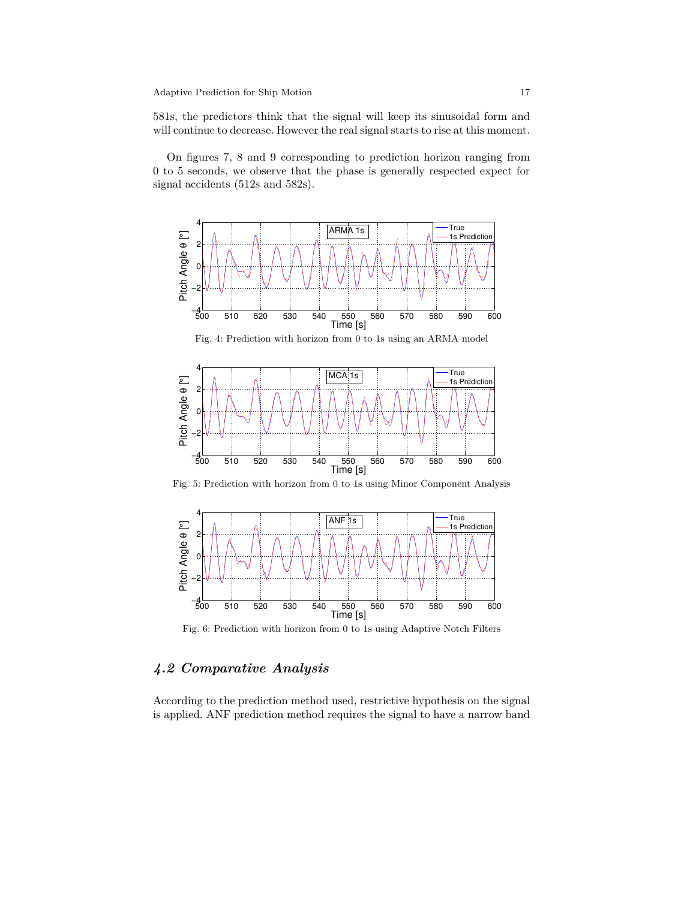581s, the predictors think that the signal will keep its sinusoidal form and will continue to decrease. However the real signal starts to rise at this moment.

On figures 7, 8 and 9 corresponding to prediction horizon ranging from 0 to 5 seconds, we observe that the phase is generally respected expect for signal accidents (512s and 582s).



Fig. 5: Prediction with horizon from 0 to 1s using Minor Component Analysis

<sup>500</sup> <sup>510</sup> <sup>520</sup> <sup>530</sup> <sup>540</sup> <sup>550</sup> <sup>560</sup> <sup>570</sup> <sup>580</sup> <sup>590</sup> <sup>600</sup> −4

550 560<br>Time [s]



Fig. 6: Prediction with horizon from 0 to 1s using Adaptive Notch Filters

# *4.2 Comparative Analysis*

According to the prediction method used, restrictive hypothesis on the signal is applied. ANF prediction method requires the signal to have a narrow band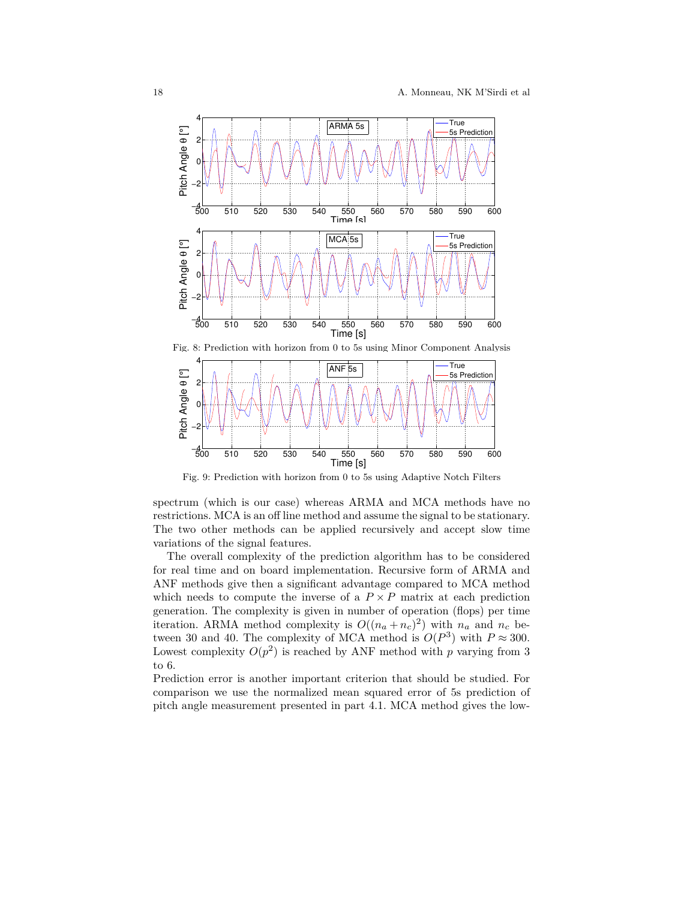



Fig. 9: Prediction with horizon from 0 to 5s using Adaptive Notch Filters

spectrum (which is our case) whereas ARMA and MCA methods have no restrictions. MCA is an off line method and assume the signal to be stationary. The two other methods can be applied recursively and accept slow time variations of the signal features.

The overall complexity of the prediction algorithm has to be considered for real time and on board implementation. Recursive form of ARMA and ANF methods give then a significant advantage compared to MCA method which needs to compute the inverse of a  $P \times P$  matrix at each prediction generation. The complexity is given in number of operation (flops) per time iteration. ARMA method complexity is  $O((n_a + n_c)^2)$  with  $n_a$  and  $n_c$  between 30 and 40. The complexity of MCA method is  $O(P^3)$  with  $P \approx 300$ . Lowest complexity  $O(p^2)$  is reached by ANF method with *p* varying from 3 to 6.

Prediction error is another important criterion that should be studied. For comparison we use the normalized mean squared error of 5s prediction of pitch angle measurement presented in part 4.1. MCA method gives the low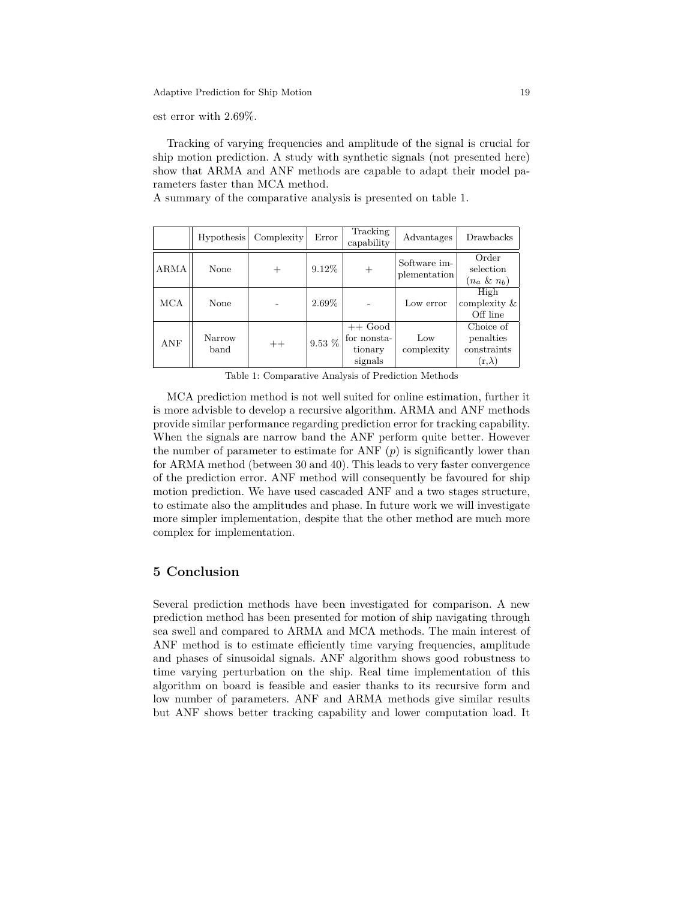est error with 2*.*69%.

Tracking of varying frequencies and amplitude of the signal is crucial for ship motion prediction. A study with synthetic signals (not presented here) show that ARMA and ANF methods are capable to adapt their model parameters faster than MCA method.

A summary of the comparative analysis is presented on table 1.

|            | Hypothesis     | Complexity | Error    | Tracking<br>capability                         | Advantages                   | Drawbacks                                                       |
|------------|----------------|------------|----------|------------------------------------------------|------------------------------|-----------------------------------------------------------------|
| ARMA       | None           |            | 9.12\%   | $^{+}$                                         | Software im-<br>plementation | Order<br>selection<br>$(n_a \& n_b)$                            |
| <b>MCA</b> | None           |            | 2.69%    |                                                | Low error                    | High<br>complexity &<br>Off line                                |
| <b>ANF</b> | Narrow<br>band | $++$       | $9.53\%$ | $++$ Good<br>for nonsta-<br>tionary<br>signals | Low<br>complexity            | Choice of<br>penalties<br>constraints<br>$(\mathrm{r,}\lambda)$ |

Table 1: Comparative Analysis of Prediction Methods

MCA prediction method is not well suited for online estimation, further it is more advisble to develop a recursive algorithm. ARMA and ANF methods provide similar performance regarding prediction error for tracking capability. When the signals are narrow band the ANF perform quite better. However the number of parameter to estimate for ANF  $(p)$  is significantly lower than for ARMA method (between 30 and 40). This leads to very faster convergence of the prediction error. ANF method will consequently be favoured for ship motion prediction. We have used cascaded ANF and a two stages structure, to estimate also the amplitudes and phase. In future work we will investigate more simpler implementation, despite that the other method are much more complex for implementation.

## **5 Conclusion**

Several prediction methods have been investigated for comparison. A new prediction method has been presented for motion of ship navigating through sea swell and compared to ARMA and MCA methods. The main interest of ANF method is to estimate efficiently time varying frequencies, amplitude and phases of sinusoidal signals. ANF algorithm shows good robustness to time varying perturbation on the ship. Real time implementation of this algorithm on board is feasible and easier thanks to its recursive form and low number of parameters. ANF and ARMA methods give similar results but ANF shows better tracking capability and lower computation load. It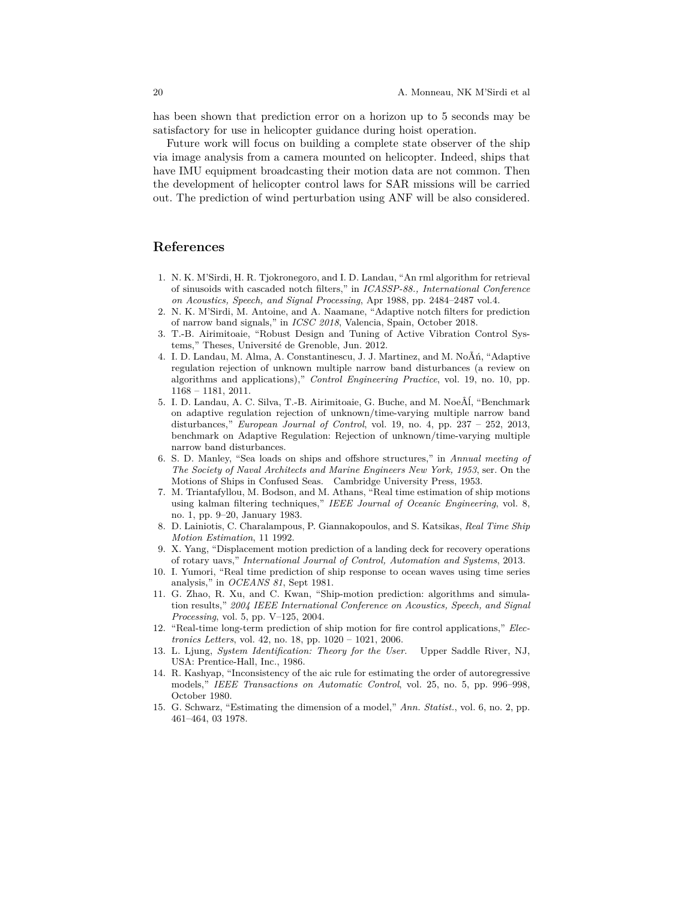has been shown that prediction error on a horizon up to 5 seconds may be satisfactory for use in helicopter guidance during hoist operation.

Future work will focus on building a complete state observer of the ship via image analysis from a camera mounted on helicopter. Indeed, ships that have IMU equipment broadcasting their motion data are not common. Then the development of helicopter control laws for SAR missions will be carried out. The prediction of wind perturbation using ANF will be also considered.

## **References**

- 1. N. K. M'Sirdi, H. R. Tjokronegoro, and I. D. Landau, "An rml algorithm for retrieval of sinusoids with cascaded notch filters," in *ICASSP-88., International Conference on Acoustics, Speech, and Signal Processing*, Apr 1988, pp. 2484–2487 vol.4.
- 2. N. K. M'Sirdi, M. Antoine, and A. Naamane, "Adaptive notch filters for prediction of narrow band signals," in *ICSC 2018*, Valencia, Spain, October 2018.
- 3. T.-B. Airimitoaie, "Robust Design and Tuning of Active Vibration Control Systems," Theses, Université de Grenoble, Jun. 2012.
- 4. I. D. Landau, M. Alma, A. Constantinescu, J. J. Martinez, and M. NoÃń, "Adaptive regulation rejection of unknown multiple narrow band disturbances (a review on algorithms and applications)," *Control Engineering Practice*, vol. 19, no. 10, pp. 1168 – 1181, 2011.
- 5. I. D. Landau, A. C. Silva, T.-B. Airimitoaie, G. Buche, and M. NoeÂĺ, "Benchmark on adaptive regulation rejection of unknown/time-varying multiple narrow band disturbances," *European Journal of Control*, vol. 19, no. 4, pp. 237 – 252, 2013, benchmark on Adaptive Regulation: Rejection of unknown/time-varying multiple narrow band disturbances.
- 6. S. D. Manley, "Sea loads on ships and offshore structures," in *Annual meeting of The Society of Naval Architects and Marine Engineers New York, 1953*, ser. On the Motions of Ships in Confused Seas. Cambridge University Press, 1953.
- 7. M. Triantafyllou, M. Bodson, and M. Athans, "Real time estimation of ship motions using kalman filtering techniques," *IEEE Journal of Oceanic Engineering*, vol. 8, no. 1, pp. 9–20, January 1983.
- 8. D. Lainiotis, C. Charalampous, P. Giannakopoulos, and S. Katsikas, *Real Time Ship Motion Estimation*, 11 1992.
- 9. X. Yang, "Displacement motion prediction of a landing deck for recovery operations of rotary uavs," *International Journal of Control, Automation and Systems*, 2013.
- 10. I. Yumori, "Real time prediction of ship response to ocean waves using time series analysis," in *OCEANS 81*, Sept 1981.
- 11. G. Zhao, R. Xu, and C. Kwan, "Ship-motion prediction: algorithms and simulation results," *2004 IEEE International Conference on Acoustics, Speech, and Signal Processing*, vol. 5, pp. V–125, 2004.
- 12. "Real-time long-term prediction of ship motion for fire control applications," *Electronics Letters*, vol. 42, no. 18, pp. 1020 – 1021, 2006.
- 13. L. Ljung, *System Identification: Theory for the User*. Upper Saddle River, NJ, USA: Prentice-Hall, Inc., 1986.
- 14. R. Kashyap, "Inconsistency of the aic rule for estimating the order of autoregressive models," *IEEE Transactions on Automatic Control*, vol. 25, no. 5, pp. 996–998, October 1980.
- 15. G. Schwarz, "Estimating the dimension of a model," *Ann. Statist.*, vol. 6, no. 2, pp. 461–464, 03 1978.